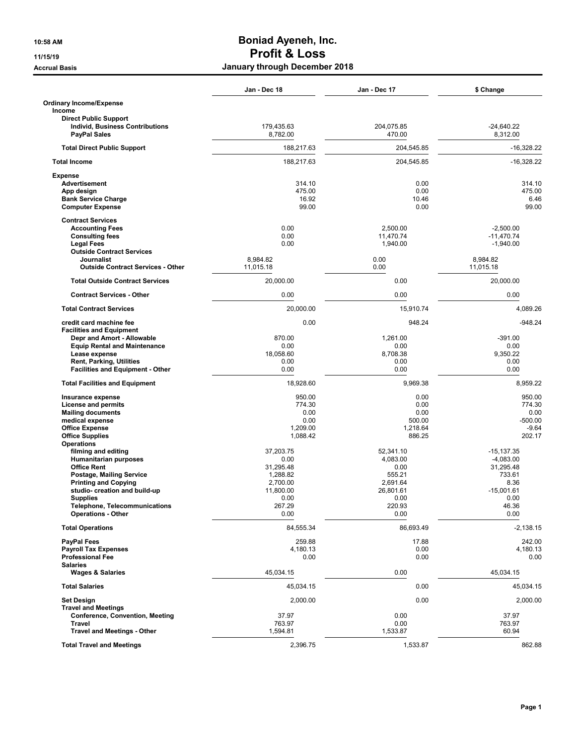## **10:58 AM Boniad Ayeneh, Inc. 11/15/19 Profit & Loss Accrual Basis January through December 2018**

|                                                                      | Jan - Dec 18           | Jan - Dec 17         | \$ Change                |
|----------------------------------------------------------------------|------------------------|----------------------|--------------------------|
| <b>Ordinary Income/Expense</b><br>Income                             |                        |                      |                          |
| <b>Direct Public Support</b>                                         |                        |                      |                          |
| <b>Individ, Business Contributions</b><br><b>PayPal Sales</b>        | 179.435.63<br>8,782.00 | 204,075.85<br>470.00 | $-24.640.22$<br>8,312.00 |
| <b>Total Direct Public Support</b>                                   | 188,217.63             | 204,545.85           | $-16,328.22$             |
| <b>Total Income</b>                                                  | 188,217.63             | 204,545.85           | $-16,328.22$             |
| <b>Expense</b><br><b>Advertisement</b>                               | 314.10                 | 0.00                 | 314.10                   |
| App design                                                           | 475.00                 | 0.00                 | 475.00                   |
| <b>Bank Service Charge</b><br><b>Computer Expense</b>                | 16.92<br>99.00         | 10.46<br>0.00        | 6.46<br>99.00            |
| <b>Contract Services</b>                                             |                        |                      |                          |
| <b>Accounting Fees</b>                                               | 0.00                   | 2,500.00             | $-2,500.00$              |
| <b>Consulting fees</b>                                               | 0.00                   | 11,470.74            | $-11,470.74$             |
| <b>Legal Fees</b>                                                    | 0.00                   | 1,940.00             | $-1,940.00$              |
| <b>Outside Contract Services</b><br>Journalist                       | 8,984.82               | 0.00                 | 8,984.82                 |
| <b>Outside Contract Services - Other</b>                             | 11,015.18              | 0.00                 | 11,015.18                |
| <b>Total Outside Contract Services</b>                               | 20,000.00              | 0.00                 | 20,000.00                |
| <b>Contract Services - Other</b>                                     | 0.00                   | 0.00                 | 0.00                     |
| <b>Total Contract Services</b>                                       | 20,000.00              | 15,910.74            | 4,089.26                 |
| credit card machine fee                                              | 0.00                   | 948.24               | $-948.24$                |
| <b>Facilities and Equipment</b><br>Depr and Amort - Allowable        | 870.00                 | 1,261.00             | $-391.00$                |
| <b>Equip Rental and Maintenance</b>                                  | 0.00                   | 0.00                 | 0.00                     |
| Lease expense                                                        | 18,058.60              | 8,708.38             | 9,350.22                 |
| <b>Rent, Parking, Utilities</b>                                      | 0.00                   | 0.00                 | 0.00                     |
| <b>Facilities and Equipment - Other</b>                              | 0.00                   | 0.00                 | 0.00                     |
| <b>Total Facilities and Equipment</b>                                | 18,928.60              | 9,969.38             | 8,959.22                 |
| Insurance expense                                                    | 950.00                 | 0.00                 | 950.00                   |
| <b>License and permits</b>                                           | 774.30<br>0.00         | 0.00<br>0.00         | 774.30<br>0.00           |
| <b>Mailing documents</b><br>medical expense                          | 0.00                   | 500.00               | $-500.00$                |
| <b>Office Expense</b>                                                | 1,209.00               | 1,218.64             | $-9.64$                  |
| <b>Office Supplies</b>                                               | 1,088.42               | 886.25               | 202.17                   |
| <b>Operations</b>                                                    |                        |                      |                          |
| filming and editing                                                  | 37,203.75              | 52,341.10            | $-15, 137.35$            |
| <b>Humanitarian purposes</b><br><b>Office Rent</b>                   | 0.00<br>31,295.48      | 4,083.00<br>0.00     | $-4,083.00$<br>31,295.48 |
| Postage, Mailing Service                                             | 1,288.82               | 555.21               | 733.61                   |
| <b>Printing and Copying</b>                                          | 2,700.00               | 2,691.64             | 8.36                     |
| studio- creation and build-up                                        | 11,800.00              | 26.801.61            | $-15,001.61$             |
| <b>Supplies</b>                                                      | 0.00                   | 0.00                 | 0.00                     |
| <b>Telephone, Telecommunications</b><br><b>Operations - Other</b>    | 267.29<br>0.00         | 220.93<br>0.00       | 46.36<br>0.00            |
| <b>Total Operations</b>                                              | 84,555.34              | 86.693.49            | $-2,138.15$              |
| <b>PayPal Fees</b>                                                   | 259.88                 | 17.88                | 242.00                   |
| <b>Payroll Tax Expenses</b>                                          | 4,180.13               | 0.00                 | 4,180.13                 |
| <b>Professional Fee</b>                                              | 0.00                   | 0.00                 | 0.00                     |
| <b>Salaries</b><br><b>Wages &amp; Salaries</b>                       | 45,034.15              | 0.00                 | 45,034.15                |
| <b>Total Salaries</b>                                                | 45,034.15              | 0.00                 | 45,034.15                |
| <b>Set Design</b>                                                    | 2,000.00               | 0.00                 | 2,000.00                 |
| <b>Travel and Meetings</b><br><b>Conference, Convention, Meeting</b> | 37.97                  | 0.00                 | 37.97                    |
| <b>Travel</b>                                                        | 763.97                 | 0.00                 | 763.97                   |
| <b>Travel and Meetings - Other</b>                                   | 1,594.81               | 1,533.87             | 60.94                    |
|                                                                      |                        |                      |                          |
| <b>Total Travel and Meetings</b>                                     | 2,396.75               | 1,533.87             | 862.88                   |